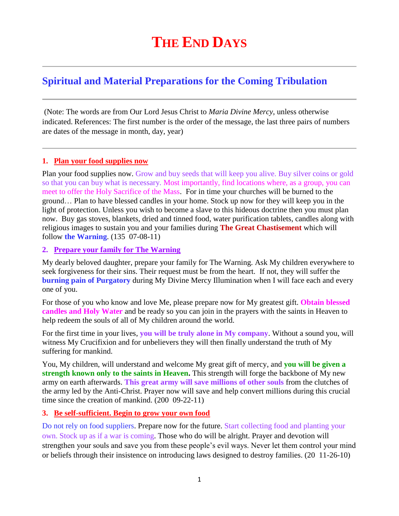# **Spiritual and Material Preparations for the Coming Tribulation**

(Note: The words are from Our Lord Jesus Christ to *Maria Divine Mercy*, unless otherwise indicated. References: The first number is the order of the message, the last three pairs of numbers are dates of the message in month, day, year)

#### **1. Plan your food supplies now**

Plan your food supplies now. Grow and buy seeds that will keep you alive. Buy silver coins or gold so that you can buy what is necessary. Most importantly, find locations where, as a group, you can meet to offer the Holy Sacrifice of the Mass. For in time your churches will be burned to the ground… Plan to have blessed candles in your home. Stock up now for they will keep you in the light of protection. Unless you wish to become a slave to this hideous doctrine then you must plan now. Buy gas stoves, blankets, dried and tinned food, water purification tablets, candles along with religious images to sustain you and your families during **The Great Chastisement** which will follow **the Warning**. (135 07-08-11)

#### **2. Prepare your family for The Warning**

My dearly beloved daughter, prepare your family for The Warning. Ask My children everywhere to seek forgiveness for their sins. Their request must be from the heart. If not, they will suffer the **burning pain of Purgatory** during My Divine Mercy Illumination when I will face each and every one of you.

For those of you who know and love Me, please prepare now for My greatest gift. **Obtain blessed candles and Holy Water** and be ready so you can join in the prayers with the saints in Heaven to help redeem the souls of all of My children around the world.

For the first time in your lives, **you will be truly alone in My company**. Without a sound you, will witness My Crucifixion and for unbelievers they will then finally understand the truth of My suffering for mankind.

You, My children, will understand and welcome My great gift of mercy, and **you will be given a strength known only to the saints in Heaven.** This strength will forge the backbone of My new army on earth afterwards. **This great army will save millions of other souls** from the clutches of the army led by the Anti-Christ. Prayer now will save and help convert millions during this crucial time since the creation of mankind. (200 09-22-11)

#### **3. Be self-sufficient. Begin to grow your own food**

Do not rely on food suppliers. Prepare now for the future. Start collecting food and planting your own. Stock up as if a war is coming. Those who do will be alright. Prayer and devotion will strengthen your souls and save you from these people's evil ways. Never let them control your mind or beliefs through their insistence on introducing laws designed to destroy families. (20 11-26-10)